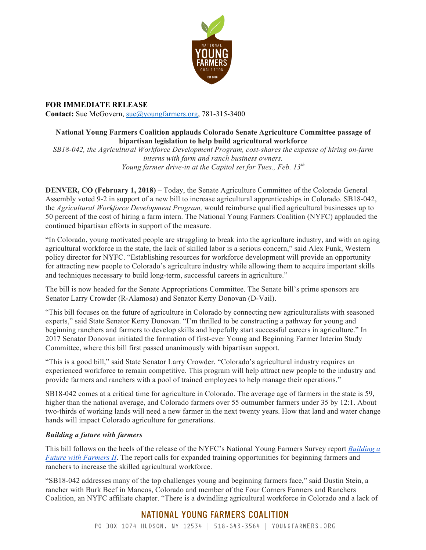

**FOR IMMEDIATE RELEASE Contact:** Sue McGovern, [sue@youngfarmers.org](mailto:sue@youngfarmers.org), 781-315-3400

## **National Young Farmers Coalition applauds Colorado Senate Agriculture Committee passage of bipartisan legislation to help build agricultural workforce**

*SB18-042, the Agricultural Workforce Development Program, cost-shares the expense of hiring on-farm interns with farm and ranch business owners. Young farmer drive-in at the Capitol set for Tues., Feb. 13th*

**DENVER, CO (February 1, 2018)** – Today, the Senate Agriculture Committee of the Colorado General Assembly voted 9-2 in support of a new bill to increase agricultural apprenticeships in Colorado. SB18-042, the *Agricultural Workforce Development Program,* would reimburse qualified agricultural businesses up to 50 percent of the cost of hiring a farm intern. The National Young Farmers Coalition (NYFC) applauded the continued bipartisan efforts in support of the measure.

"In Colorado, young motivated people are struggling to break into the agriculture industry, and with an aging agricultural workforce in the state, the lack of skilled labor is a serious concern," said Alex Funk, Western policy director for NYFC. "Establishing resources for workforce development will provide an opportunity for attracting new people to Colorado's agriculture industry while allowing them to acquire important skills and techniques necessary to build long-term, successful careers in agriculture."

The bill is now headed for the Senate Appropriations Committee. The Senate bill's prime sponsors are Senator Larry Crowder (R-Alamosa) and Senator Kerry Donovan (D-Vail).

"This bill focuses on the future of agriculture in Colorado by connecting new agriculturalists with seasoned experts," said State Senator Kerry Donovan. "I'm thrilled to be constructing a pathway for young and beginning ranchers and farmers to develop skills and hopefully start successful careers in agriculture." In 2017 Senator Donovan initiated the formation of first-ever Young and Beginning Farmer Interim Study Committee, where this bill first passed unanimously with bipartisan support.

"This is a good bill," said State Senator Larry Crowder. "Colorado's agricultural industry requires an experienced workforce to remain competitive. This program will help attract new people to the industry and provide farmers and ranchers with a pool of trained employees to help manage their operations."

SB18-042 comes at a critical time for agriculture in Colorado. The average age of farmers in the state is 59, higher than the national average, and Colorado farmers over 55 outnumber farmers under 35 by 12:1. About two-thirds of working lands will need a new farmer in the next twenty years. How that land and water change hands will impact Colorado agriculture for generations.

## *Building a future with farmers*

This bill follows on the heels of the release of the NYFC's National Young Farmers Survey report *[Building a](http://www.youngfarmers.org/survey2017/) [Future with Farmers II](http://www.youngfarmers.org/survey2017/)*. The report calls for expanded training opportunities for beginning farmers and ranchers to increase the skilled agricultural workforce.

"SB18-042 addresses many of the top challenges young and beginning farmers face," said Dustin Stein, a rancher with Burk Beef in Mancos, Colorado and member of the Four Corners Farmers and Ranchers Coalition, an NYFC affiliate chapter. "There is a dwindling agricultural workforce in Colorado and a lack of

## NATIONAL YOUNG FARMERS COALITION

PO BOX 1074 HUDSON, NY 12534 | 518-643-3564 | YOUNGFARMERS.ORG